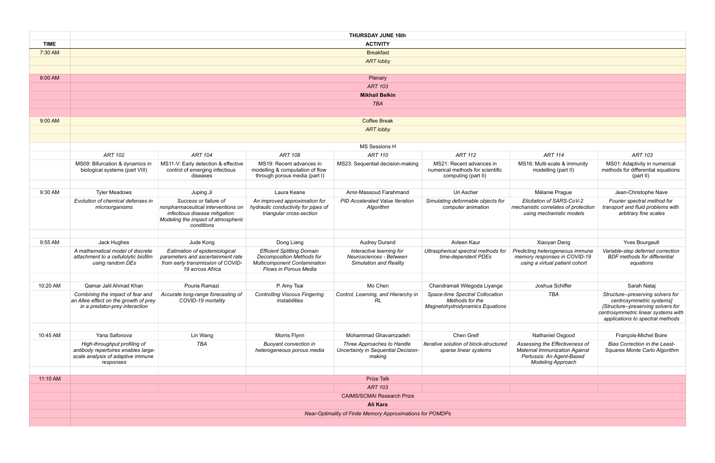|             | <b>THURSDAY JUNE 16th</b>                                                                                             |                                                                                                                                                   |                                                                                                                                       |                                                                                      |                                                                                      |                                                                                                                                 |                                                                                                                                                                                |
|-------------|-----------------------------------------------------------------------------------------------------------------------|---------------------------------------------------------------------------------------------------------------------------------------------------|---------------------------------------------------------------------------------------------------------------------------------------|--------------------------------------------------------------------------------------|--------------------------------------------------------------------------------------|---------------------------------------------------------------------------------------------------------------------------------|--------------------------------------------------------------------------------------------------------------------------------------------------------------------------------|
| <b>TIME</b> | <b>ACTIVITY</b>                                                                                                       |                                                                                                                                                   |                                                                                                                                       |                                                                                      |                                                                                      |                                                                                                                                 |                                                                                                                                                                                |
| 7:30 AM     |                                                                                                                       | <b>Breakfast</b>                                                                                                                                  |                                                                                                                                       |                                                                                      |                                                                                      |                                                                                                                                 |                                                                                                                                                                                |
|             |                                                                                                                       |                                                                                                                                                   |                                                                                                                                       | <b>ART lobby</b>                                                                     |                                                                                      |                                                                                                                                 |                                                                                                                                                                                |
|             |                                                                                                                       |                                                                                                                                                   |                                                                                                                                       |                                                                                      |                                                                                      |                                                                                                                                 |                                                                                                                                                                                |
| 8:00 AM     |                                                                                                                       |                                                                                                                                                   |                                                                                                                                       | Plenary                                                                              |                                                                                      |                                                                                                                                 |                                                                                                                                                                                |
|             |                                                                                                                       |                                                                                                                                                   |                                                                                                                                       | <b>ART 103</b>                                                                       |                                                                                      |                                                                                                                                 |                                                                                                                                                                                |
|             |                                                                                                                       |                                                                                                                                                   |                                                                                                                                       | <b>Mikhail Belkin</b>                                                                |                                                                                      |                                                                                                                                 |                                                                                                                                                                                |
|             |                                                                                                                       |                                                                                                                                                   |                                                                                                                                       | <b>TBA</b>                                                                           |                                                                                      |                                                                                                                                 |                                                                                                                                                                                |
|             |                                                                                                                       |                                                                                                                                                   |                                                                                                                                       |                                                                                      |                                                                                      |                                                                                                                                 |                                                                                                                                                                                |
| 9:00 AM     |                                                                                                                       |                                                                                                                                                   |                                                                                                                                       | <b>Coffee Break</b>                                                                  |                                                                                      |                                                                                                                                 |                                                                                                                                                                                |
|             |                                                                                                                       |                                                                                                                                                   |                                                                                                                                       | <b>ART lobby</b>                                                                     |                                                                                      |                                                                                                                                 |                                                                                                                                                                                |
|             |                                                                                                                       |                                                                                                                                                   |                                                                                                                                       |                                                                                      |                                                                                      |                                                                                                                                 |                                                                                                                                                                                |
|             |                                                                                                                       |                                                                                                                                                   |                                                                                                                                       | MS Sessions H                                                                        |                                                                                      |                                                                                                                                 |                                                                                                                                                                                |
|             | <b>ART 102</b>                                                                                                        | <b>ART 104</b>                                                                                                                                    | <b>ART 108</b>                                                                                                                        | <b>ART 110</b>                                                                       | <b>ART 112</b>                                                                       | <b>ART 114</b>                                                                                                                  | ART 103                                                                                                                                                                        |
|             | MS09: Bifurcation & dynamics in<br>biological systems (part VIII)                                                     | MS11-V: Early detection & effective<br>control of emerging infectious<br>diseases                                                                 | MS19: Recent advances in<br>modelling & computation of flow<br>through porous media (part I)                                          | MS23: Sequential decision-making                                                     | MS21: Recent advances in<br>numerical methods for scientific<br>computing (part II)  | MS16: Multi-scale & immunity<br>modelling (part II)                                                                             | MS01: Adaptivity in numerical<br>methods for differential equations<br>(part II)                                                                                               |
|             |                                                                                                                       |                                                                                                                                                   |                                                                                                                                       |                                                                                      |                                                                                      |                                                                                                                                 |                                                                                                                                                                                |
| 9:30 AM     | <b>Tyler Meadows</b>                                                                                                  | Juping Ji                                                                                                                                         | Laura Keane                                                                                                                           | Amir-Massoud Farahmand                                                               | Uri Ascher                                                                           | Mélanie Prague                                                                                                                  | Jean-Christophe Nave                                                                                                                                                           |
|             | Evolution of chemical defenses in<br>microorganisms                                                                   | Success or failure of<br>nonpharmaceutical interventions on<br>infectious disease mitigation:<br>Modeling the impact of atmospheric<br>conditions | An improved approximation for<br>hydraulic conductivity for pipes of<br>triangular cross-section                                      | <b>PID Accelerated Value Iteration</b><br>Algorithm                                  | Simulating deformable objects for<br>computer animation                              | Elicitation of SARS-CoV-2<br>mechanistic correlates of protection<br>using mechanistic models                                   | Fourier spectral method for<br>transport and fluid problems with<br>arbitrary fine scales                                                                                      |
|             |                                                                                                                       |                                                                                                                                                   |                                                                                                                                       |                                                                                      |                                                                                      |                                                                                                                                 |                                                                                                                                                                                |
| 9:55 AM     | Jack Hughes                                                                                                           | Jude Kong                                                                                                                                         | Dong Liang                                                                                                                            | <b>Audrey Durand</b>                                                                 | Avleen Kaur                                                                          | Xiaoyan Deng                                                                                                                    | <b>Yves Bourgault</b>                                                                                                                                                          |
|             | A mathematical model of discrete<br>attachment to a cellulolytic biofilm<br>using random DEs                          | Estimation of epidemiological<br>parameters and ascertainment rate<br>from early transmission of COVID-<br>19 across Africa                       | <b>Efficient Splitting Domain</b><br><b>Decomposition Methods for</b><br><b>Multicomponent Contamination</b><br>Flows in Porous Media | Interactive learning for<br>Neurosciences - Between<br><b>Simulation and Reality</b> | Ultraspherical spectral methods for<br>time-dependent PDEs                           | Predicting heterogeneous immune<br>memory responses in COVID-19<br>using a virtual patient cohort                               | Variable-step deferred correction<br><b>BDF</b> methods for differential<br>equations                                                                                          |
|             |                                                                                                                       |                                                                                                                                                   |                                                                                                                                       |                                                                                      |                                                                                      |                                                                                                                                 |                                                                                                                                                                                |
| 10:20 AM    | Qamar Jalil Ahmad Khan                                                                                                | Pouria Ramazi                                                                                                                                     | P. Amy Tsai                                                                                                                           | Mo Chen                                                                              | Chandramali Wilegoda Liyange                                                         | Joshua Schiffer                                                                                                                 | Sarah Nataj                                                                                                                                                                    |
|             | Combining the impact of fear and<br>an Allee effect on the growth of prey<br>in a predator-prey interaction           | Accurate long-range forecasting of<br>COVID-19 mortality                                                                                          | <b>Controlling Viscous Fingering</b><br><i><b>Instabilities</b></i>                                                                   | Control, Learning, and Hierarchy in<br>RL                                            | Space-time Spectral Collocation<br>Methods for the<br>Magnetohydrodynamics Equations | TBA                                                                                                                             | Structure--preserving solvers for<br>centrosymmetric systems]<br>{Structure--preserving solvers for<br>centrosymmetric linear systems with<br>applications to spectral methods |
|             |                                                                                                                       |                                                                                                                                                   |                                                                                                                                       |                                                                                      |                                                                                      |                                                                                                                                 |                                                                                                                                                                                |
| 10:45 AM    | Yana Safonova                                                                                                         | Lin Wang                                                                                                                                          | Morris Flynn                                                                                                                          | Mohammad Ghavamzadeh                                                                 | Chen Greif                                                                           | Nathaniel Osgood                                                                                                                | François-Michel Boire                                                                                                                                                          |
|             | High-throughput profiling of<br>antibody repertoires enables large-<br>scale analysis of adaptive immune<br>responses | <b>TBA</b>                                                                                                                                        | <b>Buoyant convection in</b><br>heterogeneous porous media                                                                            | Three Approaches to Handle<br>Uncertainty in Sequential Decision-<br>making          | Iterative solution of block-structured<br>sparse linear systems                      | Assessing the Effectiveness of<br><b>Maternal Immunization Against</b><br>Pertussis: An Agent-Based<br><b>Modeling Approach</b> | Bias Correction in the Least-<br>Squares Monte Carlo Algorithm                                                                                                                 |
|             |                                                                                                                       |                                                                                                                                                   |                                                                                                                                       |                                                                                      |                                                                                      |                                                                                                                                 |                                                                                                                                                                                |
| 11:10 AM    |                                                                                                                       |                                                                                                                                                   |                                                                                                                                       | <b>Prize Talk</b>                                                                    |                                                                                      |                                                                                                                                 |                                                                                                                                                                                |
|             |                                                                                                                       |                                                                                                                                                   |                                                                                                                                       | <b>ART 103</b>                                                                       |                                                                                      |                                                                                                                                 |                                                                                                                                                                                |
|             |                                                                                                                       |                                                                                                                                                   |                                                                                                                                       | <b>CAIMS/SCMAI Research Prize</b>                                                    |                                                                                      |                                                                                                                                 |                                                                                                                                                                                |
|             |                                                                                                                       |                                                                                                                                                   |                                                                                                                                       | Ali Kara                                                                             |                                                                                      |                                                                                                                                 |                                                                                                                                                                                |
|             | Near-Optimality of Finite Memory Approximations for POMDPs                                                            |                                                                                                                                                   |                                                                                                                                       |                                                                                      |                                                                                      |                                                                                                                                 |                                                                                                                                                                                |
|             |                                                                                                                       |                                                                                                                                                   |                                                                                                                                       |                                                                                      |                                                                                      |                                                                                                                                 |                                                                                                                                                                                |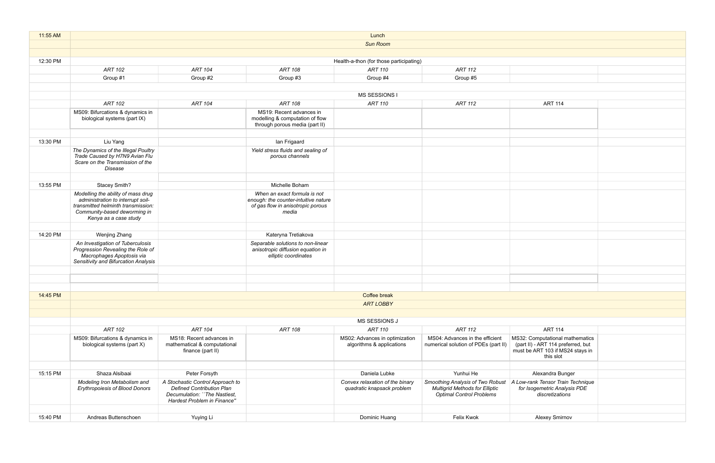| 11:55 AM | Lunch                                                                                                                                      |                                                                                                                                     |                                                                                                |                                                               |                                                                                                              |                                                                                                    |  |  |
|----------|--------------------------------------------------------------------------------------------------------------------------------------------|-------------------------------------------------------------------------------------------------------------------------------------|------------------------------------------------------------------------------------------------|---------------------------------------------------------------|--------------------------------------------------------------------------------------------------------------|----------------------------------------------------------------------------------------------------|--|--|
|          | <b>Sun Room</b>                                                                                                                            |                                                                                                                                     |                                                                                                |                                                               |                                                                                                              |                                                                                                    |  |  |
|          |                                                                                                                                            |                                                                                                                                     |                                                                                                |                                                               |                                                                                                              |                                                                                                    |  |  |
| 12:30 PM | Health-a-thon (for those participating)                                                                                                    |                                                                                                                                     |                                                                                                |                                                               |                                                                                                              |                                                                                                    |  |  |
|          | <b>ART 102</b>                                                                                                                             | <b>ART 104</b>                                                                                                                      | ART 108                                                                                        | ART 110                                                       | <b>ART 112</b>                                                                                               |                                                                                                    |  |  |
|          | Group #1                                                                                                                                   | Group #2                                                                                                                            | Group #3                                                                                       | Group #4                                                      | Group #5                                                                                                     |                                                                                                    |  |  |
|          |                                                                                                                                            |                                                                                                                                     |                                                                                                |                                                               |                                                                                                              |                                                                                                    |  |  |
|          |                                                                                                                                            |                                                                                                                                     |                                                                                                | MS SESSIONS I                                                 |                                                                                                              |                                                                                                    |  |  |
|          | <b>ART 102</b>                                                                                                                             | <b>ART 104</b>                                                                                                                      | ART 108                                                                                        | <b>ART 110</b>                                                | <b>ART 112</b>                                                                                               | <b>ART 114</b>                                                                                     |  |  |
|          | MS09: Bifurcations & dynamics in<br>biological systems (part IX)                                                                           |                                                                                                                                     | MS19: Recent advances in<br>modelling & computation of flow<br>through porous media (part II)  |                                                               |                                                                                                              |                                                                                                    |  |  |
| 13:30 PM | Liu Yang                                                                                                                                   |                                                                                                                                     | lan Frigaard                                                                                   |                                                               |                                                                                                              |                                                                                                    |  |  |
|          | The Dynamics of the Illegal Poultry<br>Trade Caused by H7N9 Avian Flu<br>Scare on the Transmission of the<br>Disease                       |                                                                                                                                     | Yield stress fluids and sealing of<br>porous channels                                          |                                                               |                                                                                                              |                                                                                                    |  |  |
| 13:55 PM |                                                                                                                                            |                                                                                                                                     | Michelle Boham                                                                                 |                                                               |                                                                                                              |                                                                                                    |  |  |
|          | Stacey Smith?<br>Modelling the ability of mass drug                                                                                        |                                                                                                                                     | When an exact formula is not                                                                   |                                                               |                                                                                                              |                                                                                                    |  |  |
|          | administration to interrupt soil-<br>transmitted helminth transmission:<br>Community-based deworming in<br>Kenya as a case study           |                                                                                                                                     | enough: the counter-intuitive nature<br>of gas flow in anisotropic porous<br>media             |                                                               |                                                                                                              |                                                                                                    |  |  |
|          |                                                                                                                                            |                                                                                                                                     |                                                                                                |                                                               |                                                                                                              |                                                                                                    |  |  |
| 14:20 PM | Wenjing Zhang                                                                                                                              |                                                                                                                                     | Kateryna Tretiakova                                                                            |                                                               |                                                                                                              |                                                                                                    |  |  |
|          | An Investigation of Tuberculosis<br>Progression Revealing the Role of<br>Macrophages Apoptosis via<br>Sensitivity and Bifurcation Analysis |                                                                                                                                     | Separable solutions to non-linear<br>anisotropic diffusion equation in<br>elliptic coordinates |                                                               |                                                                                                              |                                                                                                    |  |  |
|          |                                                                                                                                            |                                                                                                                                     |                                                                                                |                                                               |                                                                                                              |                                                                                                    |  |  |
|          |                                                                                                                                            |                                                                                                                                     |                                                                                                |                                                               |                                                                                                              |                                                                                                    |  |  |
| 14:45 PM | Coffee break                                                                                                                               |                                                                                                                                     |                                                                                                |                                                               |                                                                                                              |                                                                                                    |  |  |
|          | <b>ART LOBBY</b>                                                                                                                           |                                                                                                                                     |                                                                                                |                                                               |                                                                                                              |                                                                                                    |  |  |
|          |                                                                                                                                            |                                                                                                                                     |                                                                                                |                                                               |                                                                                                              |                                                                                                    |  |  |
|          |                                                                                                                                            |                                                                                                                                     |                                                                                                | MS SESSIONS J                                                 |                                                                                                              |                                                                                                    |  |  |
|          | <b>ART 102</b>                                                                                                                             | <b>ART 104</b>                                                                                                                      | <b>ART 108</b>                                                                                 | <b>ART 110</b>                                                | <b>ART 112</b>                                                                                               | <b>ART 114</b>                                                                                     |  |  |
|          | MS09: Bifurcations & dynamics in<br>biological systems (part X)                                                                            | MS18: Recent advances in<br>mathematical & computational<br>finance (part II)                                                       |                                                                                                | MS02: Advances in optimization<br>algorithms & applications   | MS04: Advances in the efficient<br>numerical solution of PDEs (part II)                                      | MS32: Computational math<br>(part II) - ART 114 preferre<br>must be ART 103 if MS24 s<br>this slot |  |  |
| 15:15 PM | Shaza Alsibaai                                                                                                                             | Peter Forsyth                                                                                                                       |                                                                                                | Daniela Lubke                                                 | Yunhui He                                                                                                    | Alexandra Bunger                                                                                   |  |  |
|          | Modeling Iron Metabolism and<br><b>Erythropoiesis of Blood Donors</b>                                                                      | A Stochastic Control Approach to<br><b>Defined Contribution Plan</b><br>Decumulation: "The Nastiest,<br>Hardest Problem in Finance" |                                                                                                | Convex relaxation of the binary<br>quadratic knapsack problem | Smoothing Analysis of Two Robust<br><b>Multigrid Methods for Elliptic</b><br><b>Optimal Control Problems</b> | A Low-rank Tensor Train Te<br>for Isogemetric Analysis<br>discretizations                          |  |  |
| 15:40 PM | Andreas Buttenschoen                                                                                                                       | Yuying Li                                                                                                                           |                                                                                                | Dominic Huang                                                 | Felix Kwok                                                                                                   | <b>Alexey Smirnov</b>                                                                              |  |  |
|          |                                                                                                                                            |                                                                                                                                     |                                                                                                |                                                               |                                                                                                              |                                                                                                    |  |  |

| <b>ART 114</b>                     |  |
|------------------------------------|--|
|                                    |  |
|                                    |  |
|                                    |  |
|                                    |  |
|                                    |  |
|                                    |  |
|                                    |  |
|                                    |  |
|                                    |  |
|                                    |  |
|                                    |  |
|                                    |  |
|                                    |  |
|                                    |  |
|                                    |  |
|                                    |  |
|                                    |  |
|                                    |  |
|                                    |  |
|                                    |  |
|                                    |  |
|                                    |  |
|                                    |  |
|                                    |  |
|                                    |  |
|                                    |  |
|                                    |  |
|                                    |  |
|                                    |  |
| <b>ART 114</b>                     |  |
| MS32: Computational mathematics    |  |
| (part II) - ART 114 preferred, but |  |
| must be ART 103 if MS24 stays in   |  |
| this slot                          |  |
|                                    |  |
| Alexandra Bunger                   |  |
| A Low-rank Tensor Train Technique  |  |
| for Isogemetric Analysis PDE       |  |
| discretizations                    |  |
|                                    |  |
|                                    |  |
| Alexey Smirnov                     |  |